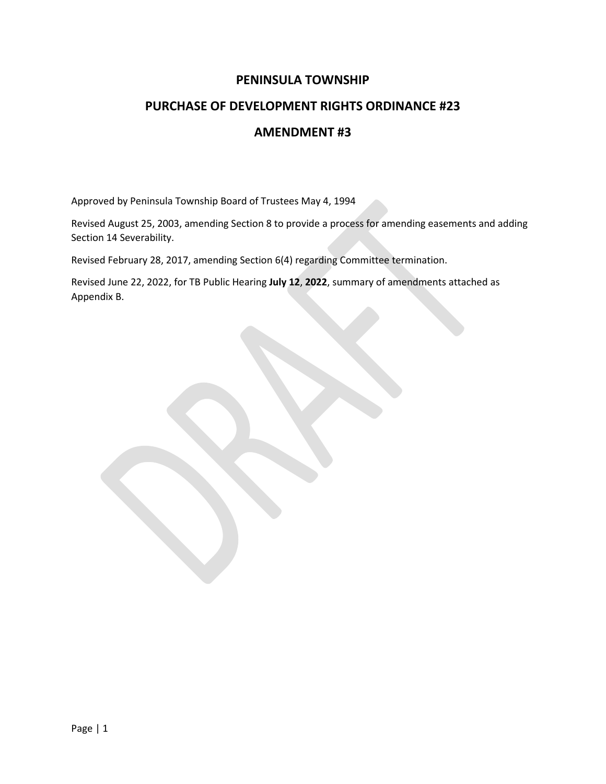### **PENINSULA TOWNSHIP**

### **PURCHASE OF DEVELOPMENT RIGHTS ORDINANCE #23**

### **AMENDMENT #3**

Approved by Peninsula Township Board of Trustees May 4, 1994

Revised August 25, 2003, amending Section 8 to provide a process for amending easements and adding Section 14 Severability.

Revised February 28, 2017, amending Section 6(4) regarding Committee termination.

Revised June 22, 2022, for TB Public Hearing **July 12**, **2022**, summary of amendments attached as Appendix B.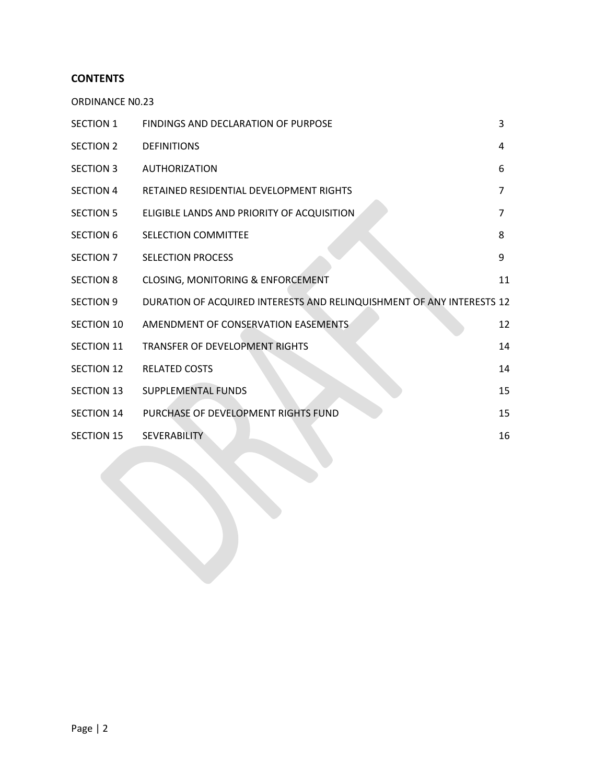### **CONTENTS**

ORDINANCE N0.23

| <b>SECTION 1</b>  | <b>FINDINGS AND DECLARATION OF PURPOSE</b>                            | 3  |
|-------------------|-----------------------------------------------------------------------|----|
| SECTION 2         | <b>DEFINITIONS</b>                                                    | 4  |
| <b>SECTION 3</b>  | <b>AUTHORIZATION</b>                                                  | 6  |
| <b>SECTION 4</b>  | RETAINED RESIDENTIAL DEVELOPMENT RIGHTS                               | 7  |
| <b>SECTION 5</b>  | ELIGIBLE LANDS AND PRIORITY OF ACQUISITION                            | 7  |
| <b>SECTION 6</b>  | <b>SELECTION COMMITTEE</b>                                            | 8  |
| SECTION 7         | <b>SELECTION PROCESS</b>                                              | 9  |
| <b>SECTION 8</b>  | <b>CLOSING, MONITORING &amp; ENFORCEMENT</b>                          | 11 |
| <b>SECTION 9</b>  | DURATION OF ACQUIRED INTERESTS AND RELINQUISHMENT OF ANY INTERESTS 12 |    |
| <b>SECTION 10</b> | AMENDMENT OF CONSERVATION EASEMENTS                                   | 12 |
| <b>SECTION 11</b> | <b>TRANSFER OF DEVELOPMENT RIGHTS</b>                                 | 14 |
| <b>SECTION 12</b> | <b>RELATED COSTS</b>                                                  | 14 |
| <b>SECTION 13</b> | <b>SUPPLEMENTAL FUNDS</b>                                             | 15 |
| <b>SECTION 14</b> | PURCHASE OF DEVELOPMENT RIGHTS FUND                                   | 15 |
| <b>SECTION 15</b> | <b>SEVERABILITY</b>                                                   | 16 |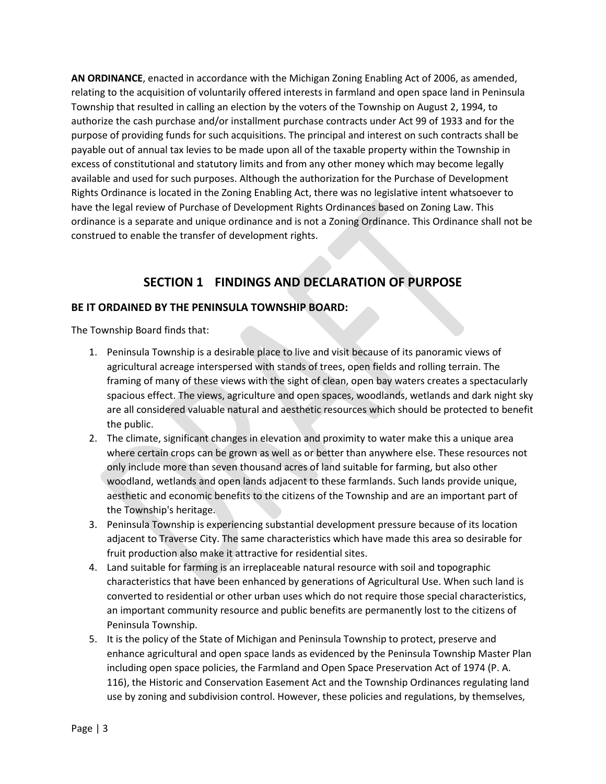**AN ORDINANCE**, enacted in accordance with the Michigan Zoning Enabling Act of 2006, as amended, relating to the acquisition of voluntarily offered interests in farmland and open space land in Peninsula Township that resulted in calling an election by the voters of the Township on August 2, 1994, to authorize the cash purchase and/or installment purchase contracts under Act 99 of 1933 and for the purpose of providing funds for such acquisitions. The principal and interest on such contracts shall be payable out of annual tax levies to be made upon all of the taxable property within the Township in excess of constitutional and statutory limits and from any other money which may become legally available and used for such purposes. Although the authorization for the Purchase of Development Rights Ordinance is located in the Zoning Enabling Act, there was no legislative intent whatsoever to have the legal review of Purchase of Development Rights Ordinances based on Zoning Law. This ordinance is a separate and unique ordinance and is not a Zoning Ordinance. This Ordinance shall not be construed to enable the transfer of development rights.

# **SECTION 1 FINDINGS AND DECLARATION OF PURPOSE**

### **BE IT ORDAINED BY THE PENINSULA TOWNSHIP BOARD:**

The Township Board finds that:

- 1. Peninsula Township is a desirable place to live and visit because of its panoramic views of agricultural acreage interspersed with stands of trees, open fields and rolling terrain. The framing of many of these views with the sight of clean, open bay waters creates a spectacularly spacious effect. The views, agriculture and open spaces, woodlands, wetlands and dark night sky are all considered valuable natural and aesthetic resources which should be protected to benefit the public.
- 2. The climate, significant changes in elevation and proximity to water make this a unique area where certain crops can be grown as well as or better than anywhere else. These resources not only include more than seven thousand acres of land suitable for farming, but also other woodland, wetlands and open lands adjacent to these farmlands. Such lands provide unique, aesthetic and economic benefits to the citizens of the Township and are an important part of the Township's heritage.
- 3. Peninsula Township is experiencing substantial development pressure because of its location adjacent to Traverse City. The same characteristics which have made this area so desirable for fruit production also make it attractive for residential sites.
- 4. Land suitable for farming is an irreplaceable natural resource with soil and topographic characteristics that have been enhanced by generations of Agricultural Use. When such land is converted to residential or other urban uses which do not require those special characteristics, an important community resource and public benefits are permanently lost to the citizens of Peninsula Township.
- 5. It is the policy of the State of Michigan and Peninsula Township to protect, preserve and enhance agricultural and open space lands as evidenced by the Peninsula Township Master Plan including open space policies, the Farmland and Open Space Preservation Act of 1974 (P. A. 116), the Historic and Conservation Easement Act and the Township Ordinances regulating land use by zoning and subdivision control. However, these policies and regulations, by themselves,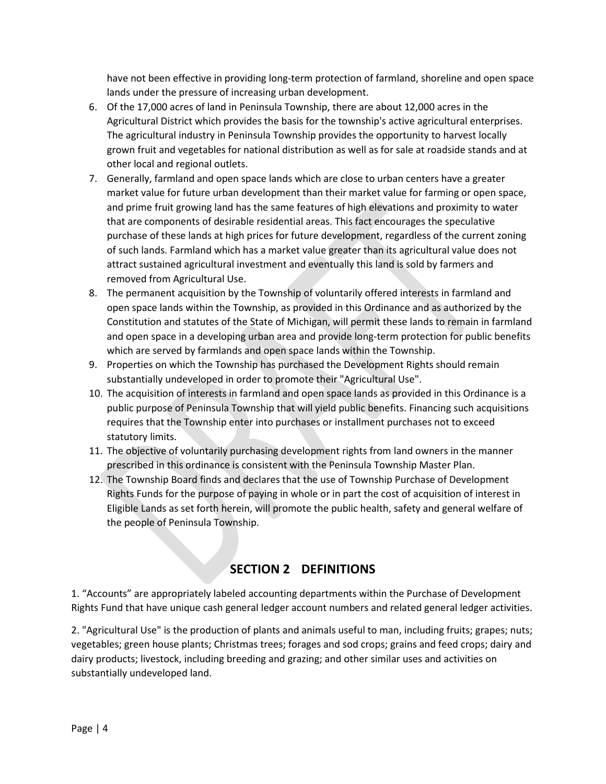have not been effective in providing long-term protection of farmland, shoreline and open space lands under the pressure of increasing urban development.

- 6. Of the 17,000 acres of land in Peninsula Township, there are about 12,000 acres in the Agricultural District which provides the basis for the township's active agricultural enterprises. The agricultural industry in Peninsula Township provides the opportunity to harvest locally grown fruit and vegetables for national distribution as well as for sale at roadside stands and at other local and regional outlets.
- 7. Generally, farmland and open space lands which are close to urban centers have a greater market value for future urban development than their market value for farming or open space, and prime fruit growing land has the same features of high elevations and proximity to water that are components of desirable residential areas. This fact encourages the speculative purchase of these lands at high prices for future development, regardless of the current zoning of such lands. Farmland which has a market value greater than its agricultural value does not attract sustained agricultural investment and eventually this land is sold by farmers and removed from Agricultural Use.
- 8. The permanent acquisition by the Township of voluntarily offered interests in farmland and open space lands within the Township, as provided in this Ordinance and as authorized by the Constitution and statutes of the State of Michigan, will permit these lands to remain in farmland and open space in a developing urban area and provide long-term protection for public benefits which are served by farmlands and open space lands within the Township.
- 9. Properties on which the Township has purchased the Development Rights should remain substantially undeveloped in order to promote their "Agricultural Use".
- 10. The acquisition of interests in farmland and open space lands as provided in this Ordinance is a public purpose of Peninsula Township that will yield public benefits. Financing such acquisitions requires that the Township enter into purchases or installment purchases not to exceed statutory limits.
- 11. The objective of voluntarily purchasing development rights from land owners in the manner prescribed in this ordinance is consistent with the Peninsula Township Master Plan.
- 12. The Township Board finds and declares that the use of Township Purchase of Development Rights Funds for the purpose of paying in whole or in part the cost of acquisition of interest in Eligible Lands as set forth herein, will promote the public health, safety and general welfare of the people of Peninsula Township.

# **SECTION 2 DEFINITIONS**

1. "Accounts" are appropriately labeled accounting departments within the Purchase of Development Rights Fund that have unique cash general ledger account numbers and related general ledger activities.

2. "Agricultural Use" is the production of plants and animals useful to man, including fruits; grapes; nuts; vegetables; green house plants; Christmas trees; forages and sod crops; grains and feed crops; dairy and dairy products; livestock, including breeding and grazing; and other similar uses and activities on substantially undeveloped land.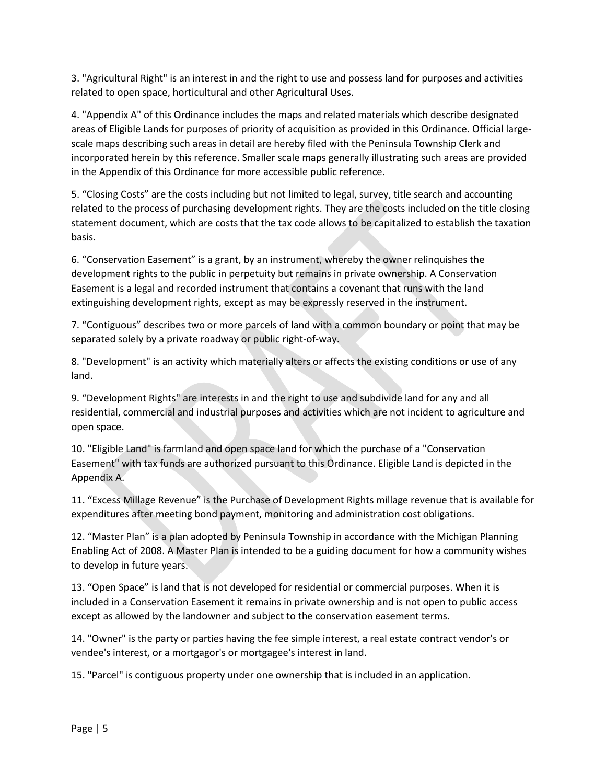3. "Agricultural Right" is an interest in and the right to use and possess land for purposes and activities related to open space, horticultural and other Agricultural Uses.

4. "Appendix A" of this Ordinance includes the maps and related materials which describe designated areas of Eligible Lands for purposes of priority of acquisition as provided in this Ordinance. Official largescale maps describing such areas in detail are hereby filed with the Peninsula Township Clerk and incorporated herein by this reference. Smaller scale maps generally illustrating such areas are provided in the Appendix of this Ordinance for more accessible public reference.

5. "Closing Costs" are the costs including but not limited to legal, survey, title search and accounting related to the process of purchasing development rights. They are the costs included on the title closing statement document, which are costs that the tax code allows to be capitalized to establish the taxation basis.

6. "Conservation Easement" is a grant, by an instrument, whereby the owner relinquishes the development rights to the public in perpetuity but remains in private ownership. A Conservation Easement is a legal and recorded instrument that contains a covenant that runs with the land extinguishing development rights, except as may be expressly reserved in the instrument.

7. "Contiguous" describes two or more parcels of land with a common boundary or point that may be separated solely by a private roadway or public right-of-way.

8. "Development" is an activity which materially alters or affects the existing conditions or use of any land.

9. "Development Rights" are interests in and the right to use and subdivide land for any and all residential, commercial and industrial purposes and activities which are not incident to agriculture and open space.

10. "Eligible Land" is farmland and open space land for which the purchase of a "Conservation Easement" with tax funds are authorized pursuant to this Ordinance. Eligible Land is depicted in the Appendix A.

11. "Excess Millage Revenue" is the Purchase of Development Rights millage revenue that is available for expenditures after meeting bond payment, monitoring and administration cost obligations.

12. "Master Plan" is a plan adopted by Peninsula Township in accordance with the Michigan Planning Enabling Act of 2008. A Master Plan is intended to be a guiding document for how a community wishes to develop in future years.

13. "Open Space" is land that is not developed for residential or commercial purposes. When it is included in a Conservation Easement it remains in private ownership and is not open to public access except as allowed by the landowner and subject to the conservation easement terms.

14. "Owner" is the party or parties having the fee simple interest, a real estate contract vendor's or vendee's interest, or a mortgagor's or mortgagee's interest in land.

15. "Parcel" is contiguous property under one ownership that is included in an application.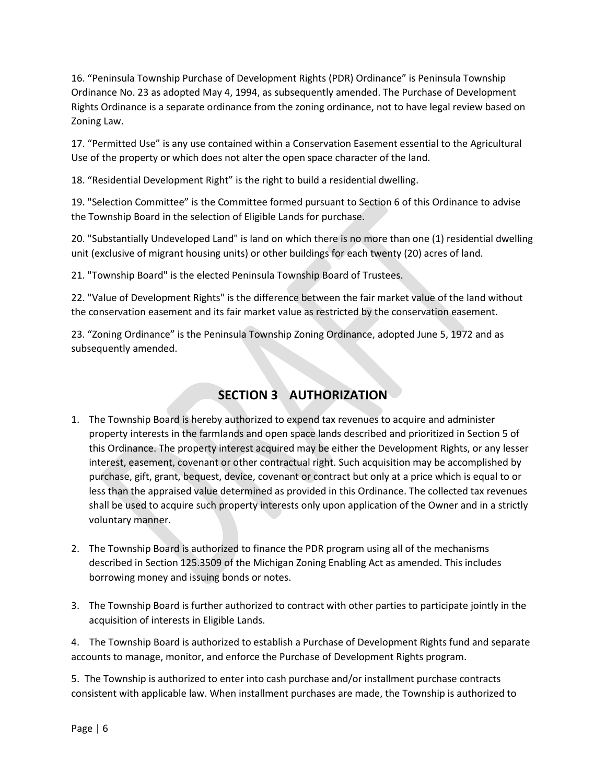16. "Peninsula Township Purchase of Development Rights (PDR) Ordinance" is Peninsula Township Ordinance No. 23 as adopted May 4, 1994, as subsequently amended. The Purchase of Development Rights Ordinance is a separate ordinance from the zoning ordinance, not to have legal review based on Zoning Law.

17. "Permitted Use" is any use contained within a Conservation Easement essential to the Agricultural Use of the property or which does not alter the open space character of the land.

18. "Residential Development Right" is the right to build a residential dwelling.

19. "Selection Committee" is the Committee formed pursuant to Section 6 of this Ordinance to advise the Township Board in the selection of Eligible Lands for purchase.

20. "Substantially Undeveloped Land" is land on which there is no more than one (1) residential dwelling unit (exclusive of migrant housing units) or other buildings for each twenty (20) acres of land.

21. "Township Board" is the elected Peninsula Township Board of Trustees.

22. "Value of Development Rights" is the difference between the fair market value of the land without the conservation easement and its fair market value as restricted by the conservation easement.

23. "Zoning Ordinance" is the Peninsula Township Zoning Ordinance, adopted June 5, 1972 and as subsequently amended.

# **SECTION 3 AUTHORIZATION**

- 1. The Township Board is hereby authorized to expend tax revenues to acquire and administer property interests in the farmlands and open space lands described and prioritized in Section 5 of this Ordinance. The property interest acquired may be either the Development Rights, or any lesser interest, easement, covenant or other contractual right. Such acquisition may be accomplished by purchase, gift, grant, bequest, device, covenant or contract but only at a price which is equal to or less than the appraised value determined as provided in this Ordinance. The collected tax revenues shall be used to acquire such property interests only upon application of the Owner and in a strictly voluntary manner.
- 2. The Township Board is authorized to finance the PDR program using all of the mechanisms described in Section 125.3509 of the Michigan Zoning Enabling Act as amended. This includes borrowing money and issuing bonds or notes.
- 3. The Township Board is further authorized to contract with other parties to participate jointly in the acquisition of interests in Eligible Lands.

4. The Township Board is authorized to establish a Purchase of Development Rights fund and separate accounts to manage, monitor, and enforce the Purchase of Development Rights program.

5. The Township is authorized to enter into cash purchase and/or installment purchase contracts consistent with applicable law. When installment purchases are made, the Township is authorized to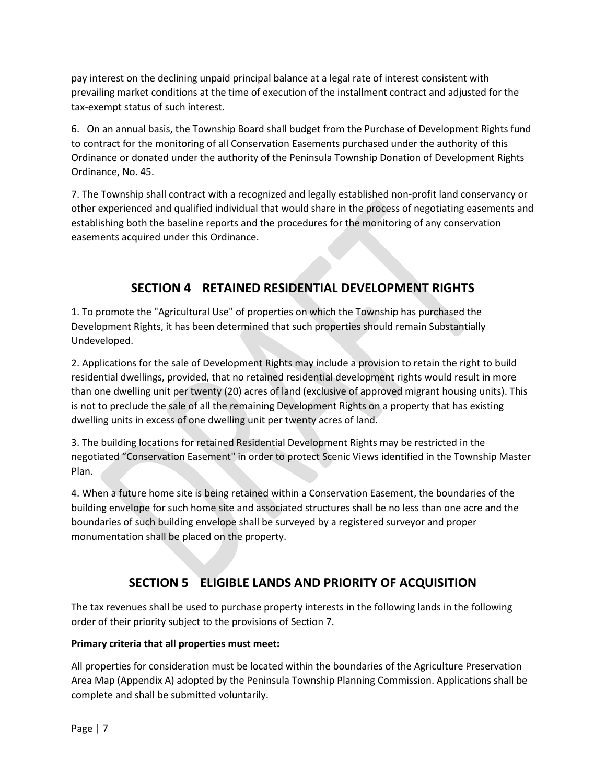pay interest on the declining unpaid principal balance at a legal rate of interest consistent with prevailing market conditions at the time of execution of the installment contract and adjusted for the tax-exempt status of such interest.

6. On an annual basis, the Township Board shall budget from the Purchase of Development Rights fund to contract for the monitoring of all Conservation Easements purchased under the authority of this Ordinance or donated under the authority of the Peninsula Township Donation of Development Rights Ordinance, No. 45.

7. The Township shall contract with a recognized and legally established non-profit land conservancy or other experienced and qualified individual that would share in the process of negotiating easements and establishing both the baseline reports and the procedures for the monitoring of any conservation easements acquired under this Ordinance.

# **SECTION 4 RETAINED RESIDENTIAL DEVELOPMENT RIGHTS**

1. To promote the "Agricultural Use" of properties on which the Township has purchased the Development Rights, it has been determined that such properties should remain Substantially Undeveloped.

2. Applications for the sale of Development Rights may include a provision to retain the right to build residential dwellings, provided, that no retained residential development rights would result in more than one dwelling unit per twenty (20) acres of land (exclusive of approved migrant housing units). This is not to preclude the sale of all the remaining Development Rights on a property that has existing dwelling units in excess of one dwelling unit per twenty acres of land.

3. The building locations for retained Residential Development Rights may be restricted in the negotiated "Conservation Easement" in order to protect Scenic Views identified in the Township Master Plan.

4. When a future home site is being retained within a Conservation Easement, the boundaries of the building envelope for such home site and associated structures shall be no less than one acre and the boundaries of such building envelope shall be surveyed by a registered surveyor and proper monumentation shall be placed on the property.

### **SECTION 5 ELIGIBLE LANDS AND PRIORITY OF ACQUISITION**

The tax revenues shall be used to purchase property interests in the following lands in the following order of their priority subject to the provisions of Section 7.

#### **Primary criteria that all properties must meet:**

All properties for consideration must be located within the boundaries of the Agriculture Preservation Area Map (Appendix A) adopted by the Peninsula Township Planning Commission. Applications shall be complete and shall be submitted voluntarily.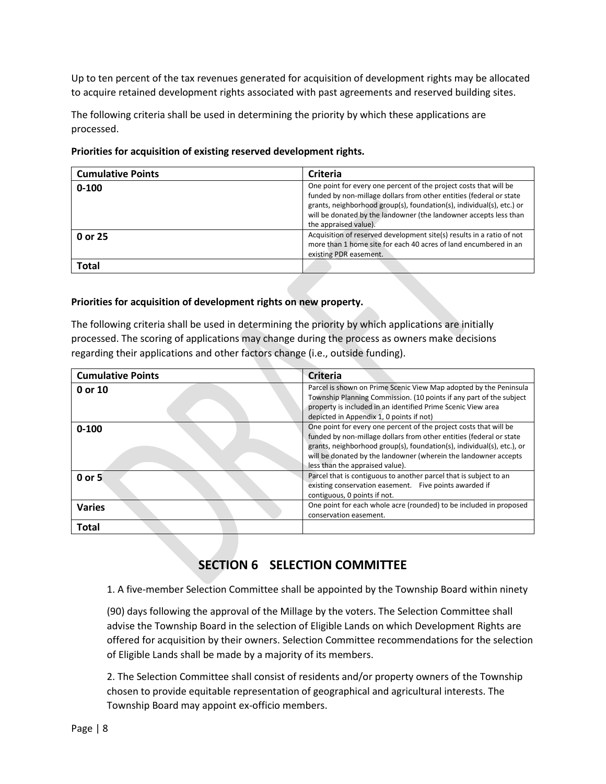Up to ten percent of the tax revenues generated for acquisition of development rights may be allocated to acquire retained development rights associated with past agreements and reserved building sites.

The following criteria shall be used in determining the priority by which these applications are processed.

|  | Priorities for acquisition of existing reserved development rights. |  |
|--|---------------------------------------------------------------------|--|
|  |                                                                     |  |

| <b>Cumulative Points</b> | Criteria                                                                                                                                                                                                                                                                                                        |
|--------------------------|-----------------------------------------------------------------------------------------------------------------------------------------------------------------------------------------------------------------------------------------------------------------------------------------------------------------|
| $0 - 100$                | One point for every one percent of the project costs that will be<br>funded by non-millage dollars from other entities (federal or state<br>grants, neighborhood group(s), foundation(s), individual(s), etc.) or<br>will be donated by the landowner (the landowner accepts less than<br>the appraised value). |
| 0 or 25                  | Acquisition of reserved development site(s) results in a ratio of not<br>more than 1 home site for each 40 acres of land encumbered in an<br>existing PDR easement.                                                                                                                                             |
| Total                    |                                                                                                                                                                                                                                                                                                                 |

#### **Priorities for acquisition of development rights on new property.**

The following criteria shall be used in determining the priority by which applications are initially processed. The scoring of applications may change during the process as owners make decisions regarding their applications and other factors change (i.e., outside funding).

| <b>Cumulative Points</b> | Criteria                                                                                                                                                                                                                                                                                                                 |
|--------------------------|--------------------------------------------------------------------------------------------------------------------------------------------------------------------------------------------------------------------------------------------------------------------------------------------------------------------------|
| 0 or 10                  | Parcel is shown on Prime Scenic View Map adopted by the Peninsula<br>Township Planning Commission. (10 points if any part of the subject<br>property is included in an identified Prime Scenic View area<br>depicted in Appendix 1, 0 points if not)                                                                     |
| $0 - 100$                | One point for every one percent of the project costs that will be<br>funded by non-millage dollars from other entities (federal or state<br>grants, neighborhood group(s), foundation(s), individual(s), etc.), or<br>will be donated by the landowner (wherein the landowner accepts<br>less than the appraised value). |
| 0 or 5                   | Parcel that is contiguous to another parcel that is subject to an<br>existing conservation easement. Five points awarded if<br>contiguous, 0 points if not.                                                                                                                                                              |
| <b>Varies</b>            | One point for each whole acre (rounded) to be included in proposed<br>conservation easement.                                                                                                                                                                                                                             |
| <b>Total</b>             |                                                                                                                                                                                                                                                                                                                          |

### **SECTION 6 SELECTION COMMITTEE**

1. A five-member Selection Committee shall be appointed by the Township Board within ninety

(90) days following the approval of the Millage by the voters. The Selection Committee shall advise the Township Board in the selection of Eligible Lands on which Development Rights are offered for acquisition by their owners. Selection Committee recommendations for the selection of Eligible Lands shall be made by a majority of its members.

2. The Selection Committee shall consist of residents and/or property owners of the Township chosen to provide equitable representation of geographical and agricultural interests. The Township Board may appoint ex-officio members.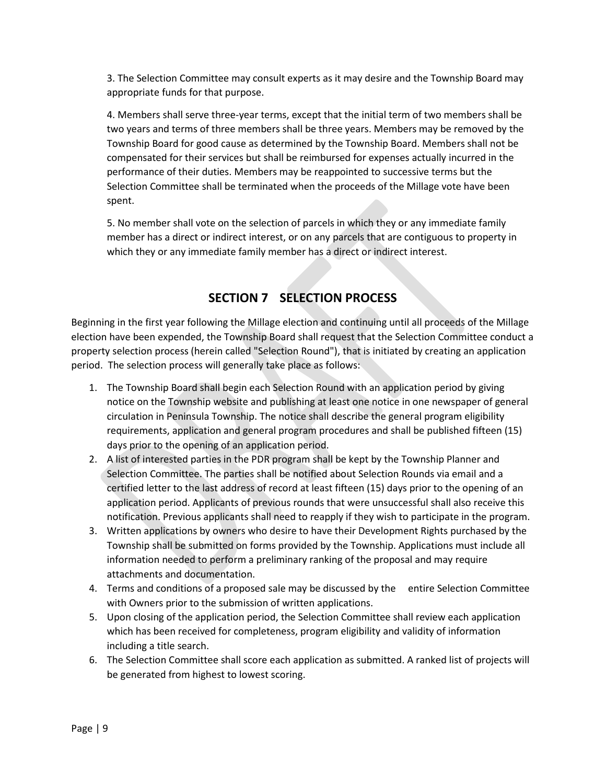3. The Selection Committee may consult experts as it may desire and the Township Board may appropriate funds for that purpose.

4. Members shall serve three-year terms, except that the initial term of two members shall be two years and terms of three members shall be three years. Members may be removed by the Township Board for good cause as determined by the Township Board. Members shall not be compensated for their services but shall be reimbursed for expenses actually incurred in the performance of their duties. Members may be reappointed to successive terms but the Selection Committee shall be terminated when the proceeds of the Millage vote have been spent.

5. No member shall vote on the selection of parcels in which they or any immediate family member has a direct or indirect interest, or on any parcels that are contiguous to property in which they or any immediate family member has a direct or indirect interest.

# **SECTION 7 SELECTION PROCESS**

Beginning in the first year following the Millage election and continuing until all proceeds of the Millage election have been expended, the Township Board shall request that the Selection Committee conduct a property selection process (herein called "Selection Round"), that is initiated by creating an application period. The selection process will generally take place as follows:

- 1. The Township Board shall begin each Selection Round with an application period by giving notice on the Township website and publishing at least one notice in one newspaper of general circulation in Peninsula Township. The notice shall describe the general program eligibility requirements, application and general program procedures and shall be published fifteen (15) days prior to the opening of an application period.
- 2. A list of interested parties in the PDR program shall be kept by the Township Planner and Selection Committee. The parties shall be notified about Selection Rounds via email and a certified letter to the last address of record at least fifteen (15) days prior to the opening of an application period. Applicants of previous rounds that were unsuccessful shall also receive this notification. Previous applicants shall need to reapply if they wish to participate in the program.
- 3. Written applications by owners who desire to have their Development Rights purchased by the Township shall be submitted on forms provided by the Township. Applications must include all information needed to perform a preliminary ranking of the proposal and may require attachments and documentation.
- 4. Terms and conditions of a proposed sale may be discussed by the entire Selection Committee with Owners prior to the submission of written applications.
- 5. Upon closing of the application period, the Selection Committee shall review each application which has been received for completeness, program eligibility and validity of information including a title search.
- 6. The Selection Committee shall score each application as submitted. A ranked list of projects will be generated from highest to lowest scoring.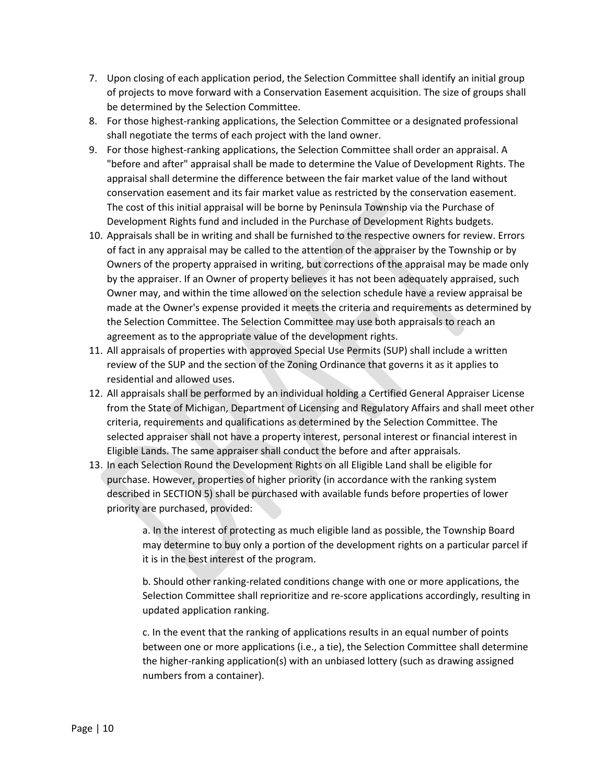- 7. Upon closing of each application period, the Selection Committee shall identify an initial group of projects to move forward with a Conservation Easement acquisition. The size of groups shall be determined by the Selection Committee.
- 8. For those highest-ranking applications, the Selection Committee or a designated professional shall negotiate the terms of each project with the land owner.
- 9. For those highest-ranking applications, the Selection Committee shall order an appraisal. A "before and after" appraisal shall be made to determine the Value of Development Rights. The appraisal shall determine the difference between the fair market value of the land without conservation easement and its fair market value as restricted by the conservation easement. The cost of this initial appraisal will be borne by Peninsula Township via the Purchase of Development Rights fund and included in the Purchase of Development Rights budgets.
- 10. Appraisals shall be in writing and shall be furnished to the respective owners for review. Errors of fact in any appraisal may be called to the attention of the appraiser by the Township or by Owners of the property appraised in writing, but corrections of the appraisal may be made only by the appraiser. If an Owner of property believes it has not been adequately appraised, such Owner may, and within the time allowed on the selection schedule have a review appraisal be made at the Owner's expense provided it meets the criteria and requirements as determined by the Selection Committee. The Selection Committee may use both appraisals to reach an agreement as to the appropriate value of the development rights.
- 11. All appraisals of properties with approved Special Use Permits (SUP) shall include a written review of the SUP and the section of the Zoning Ordinance that governs it as it applies to residential and allowed uses.
- 12. All appraisals shall be performed by an individual holding a Certified General Appraiser License from the State of Michigan, Department of Licensing and Regulatory Affairs and shall meet other criteria, requirements and qualifications as determined by the Selection Committee. The selected appraiser shall not have a property interest, personal interest or financial interest in Eligible Lands. The same appraiser shall conduct the before and after appraisals.
- 13. In each Selection Round the Development Rights on all Eligible Land shall be eligible for purchase. However, properties of higher priority (in accordance with the ranking system described in SECTION 5) shall be purchased with available funds before properties of lower priority are purchased, provided:

a. In the interest of protecting as much eligible land as possible, the Township Board may determine to buy only a portion of the development rights on a particular parcel if it is in the best interest of the program.

b. Should other ranking-related conditions change with one or more applications, the Selection Committee shall reprioritize and re-score applications accordingly, resulting in updated application ranking.

c. In the event that the ranking of applications results in an equal number of points between one or more applications (i.e., a tie), the Selection Committee shall determine the higher-ranking application(s) with an unbiased lottery (such as drawing assigned numbers from a container).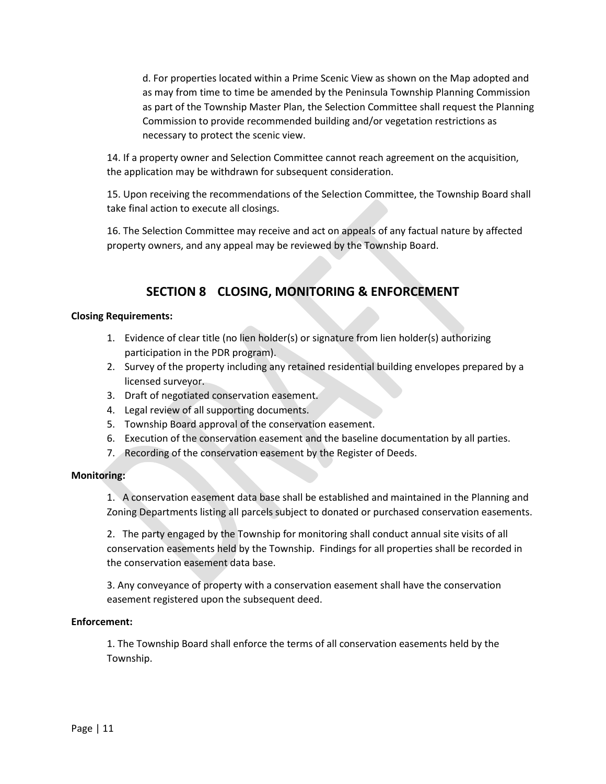d. For properties located within a Prime Scenic View as shown on the Map adopted and as may from time to time be amended by the Peninsula Township Planning Commission as part of the Township Master Plan, the Selection Committee shall request the Planning Commission to provide recommended building and/or vegetation restrictions as necessary to protect the scenic view.

14. If a property owner and Selection Committee cannot reach agreement on the acquisition, the application may be withdrawn for subsequent consideration.

15. Upon receiving the recommendations of the Selection Committee, the Township Board shall take final action to execute all closings.

16. The Selection Committee may receive and act on appeals of any factual nature by affected property owners, and any appeal may be reviewed by the Township Board.

### **SECTION 8 CLOSING, MONITORING & ENFORCEMENT**

#### **Closing Requirements:**

- 1. Evidence of clear title (no lien holder(s) or signature from lien holder(s) authorizing participation in the PDR program).
- 2. Survey of the property including any retained residential building envelopes prepared by a licensed surveyor.
- 3. Draft of negotiated conservation easement.
- 4. Legal review of all supporting documents.
- 5. Township Board approval of the conservation easement.
- 6. Execution of the conservation easement and the baseline documentation by all parties.
- 7. Recording of the conservation easement by the Register of Deeds.

#### **Monitoring:**

1. A conservation easement data base shall be established and maintained in the Planning and Zoning Departments listing all parcels subject to donated or purchased conservation easements.

2. The party engaged by the Township for monitoring shall conduct annual site visits of all conservation easements held by the Township. Findings for all properties shall be recorded in the conservation easement data base.

3. Any conveyance of property with a conservation easement shall have the conservation easement registered upon the subsequent deed.

#### **Enforcement:**

1. The Township Board shall enforce the terms of all conservation easements held by the Township.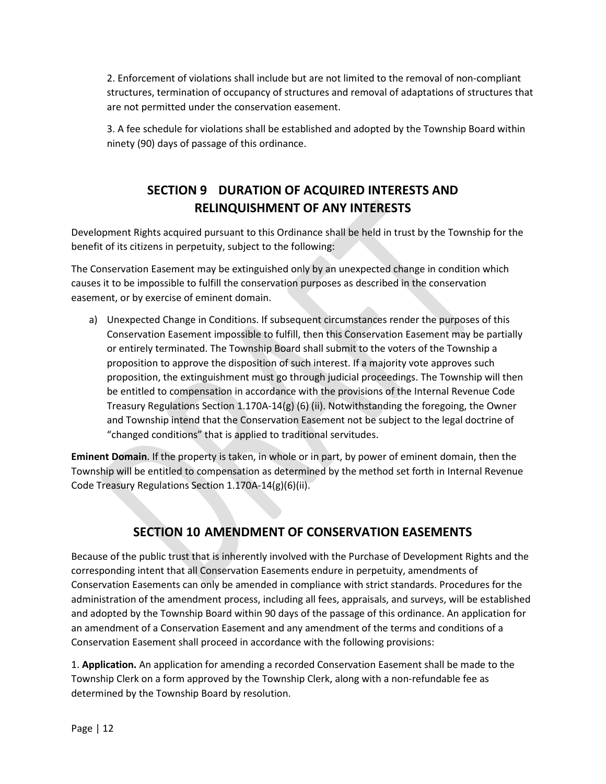2. Enforcement of violations shall include but are not limited to the removal of non-compliant structures, termination of occupancy of structures and removal of adaptations of structures that are not permitted under the conservation easement.

3. A fee schedule for violations shall be established and adopted by the Township Board within ninety (90) days of passage of this ordinance.

# **SECTION 9 DURATION OF ACQUIRED INTERESTS AND RELINQUISHMENT OF ANY INTERESTS**

Development Rights acquired pursuant to this Ordinance shall be held in trust by the Township for the benefit of its citizens in perpetuity, subject to the following:

The Conservation Easement may be extinguished only by an unexpected change in condition which causes it to be impossible to fulfill the conservation purposes as described in the conservation easement, or by exercise of eminent domain.

a) Unexpected Change in Conditions. If subsequent circumstances render the purposes of this Conservation Easement impossible to fulfill, then this Conservation Easement may be partially or entirely terminated. The Township Board shall submit to the voters of the Township a proposition to approve the disposition of such interest. If a majority vote approves such proposition, the extinguishment must go through judicial proceedings. The Township will then be entitled to compensation in accordance with the provisions of the Internal Revenue Code Treasury Regulations Section 1.170A-14(g) (6) (ii). Notwithstanding the foregoing, the Owner and Township intend that the Conservation Easement not be subject to the legal doctrine of "changed conditions" that is applied to traditional servitudes.

**Eminent Domain**. If the property is taken, in whole or in part, by power of eminent domain, then the Township will be entitled to compensation as determined by the method set forth in Internal Revenue Code Treasury Regulations Section 1.170A-14(g)(6)(ii).

### **SECTION 10 AMENDMENT OF CONSERVATION EASEMENTS**

Because of the public trust that is inherently involved with the Purchase of Development Rights and the corresponding intent that all Conservation Easements endure in perpetuity, amendments of Conservation Easements can only be amended in compliance with strict standards. Procedures for the administration of the amendment process, including all fees, appraisals, and surveys, will be established and adopted by the Township Board within 90 days of the passage of this ordinance. An application for an amendment of a Conservation Easement and any amendment of the terms and conditions of a Conservation Easement shall proceed in accordance with the following provisions:

1. **Application.** An application for amending a recorded Conservation Easement shall be made to the Township Clerk on a form approved by the Township Clerk, along with a non-refundable fee as determined by the Township Board by resolution.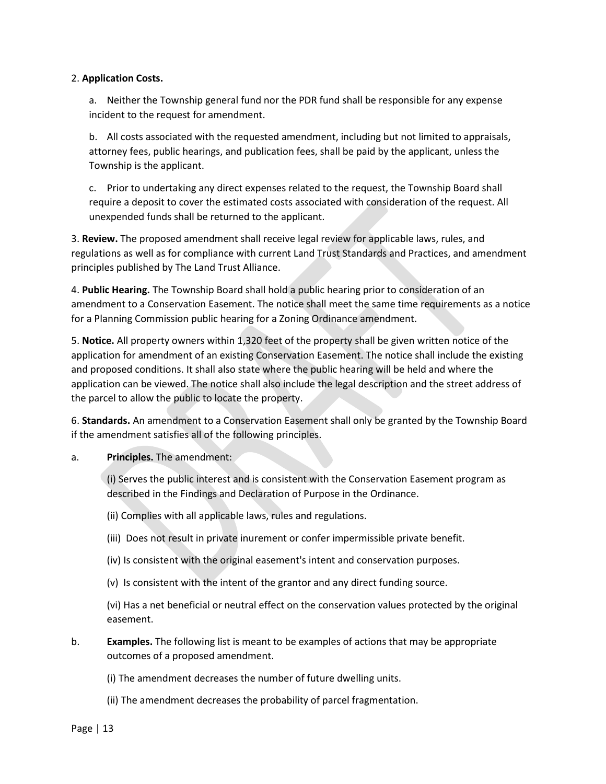#### 2. **Application Costs.**

a. Neither the Township general fund nor the PDR fund shall be responsible for any expense incident to the request for amendment.

b. All costs associated with the requested amendment, including but not limited to appraisals, attorney fees, public hearings, and publication fees, shall be paid by the applicant, unless the Township is the applicant.

c. Prior to undertaking any direct expenses related to the request, the Township Board shall require a deposit to cover the estimated costs associated with consideration of the request. All unexpended funds shall be returned to the applicant.

3. **Review.** The proposed amendment shall receive legal review for applicable laws, rules, and regulations as well as for compliance with current Land Trust Standards and Practices, and amendment principles published by The Land Trust Alliance.

4. **Public Hearing.** The Township Board shall hold a public hearing prior to consideration of an amendment to a Conservation Easement. The notice shall meet the same time requirements as a notice for a Planning Commission public hearing for a Zoning Ordinance amendment.

5. **Notice.** All property owners within 1,320 feet of the property shall be given written notice of the application for amendment of an existing Conservation Easement. The notice shall include the existing and proposed conditions. It shall also state where the public hearing will be held and where the application can be viewed. The notice shall also include the legal description and the street address of the parcel to allow the public to locate the property.

6. **Standards.** An amendment to a Conservation Easement shall only be granted by the Township Board if the amendment satisfies all of the following principles.

a. **Principles.** The amendment:

(i) Serves the public interest and is consistent with the Conservation Easement program as described in the Findings and Declaration of Purpose in the Ordinance.

(ii) Complies with all applicable laws, rules and regulations.

- (iii) Does not result in private inurement or confer impermissible private benefit.
- (iv) Is consistent with the original easement's intent and conservation purposes.
- (v) Is consistent with the intent of the grantor and any direct funding source.

(vi) Has a net beneficial or neutral effect on the conservation values protected by the original easement.

b. **Examples.** The following list is meant to be examples of actions that may be appropriate outcomes of a proposed amendment.

(i) The amendment decreases the number of future dwelling units.

(ii) The amendment decreases the probability of parcel fragmentation.

Page | 13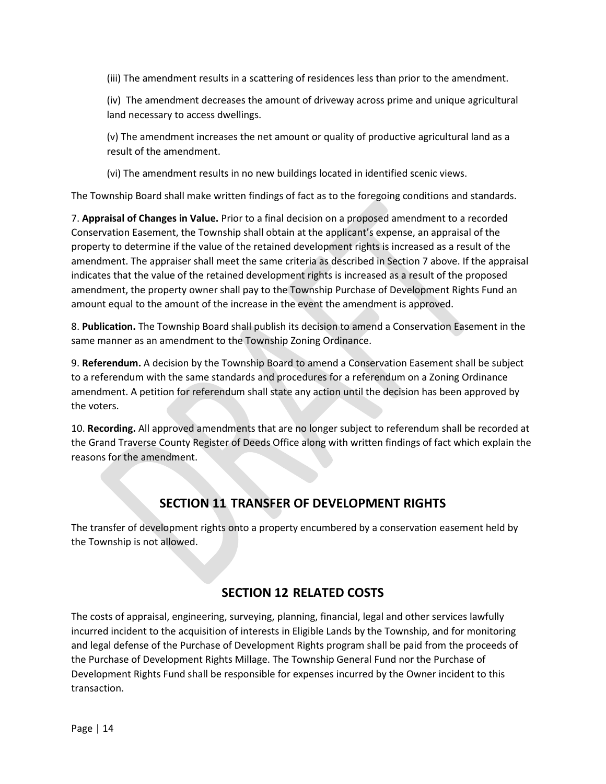(iii) The amendment results in a scattering of residences less than prior to the amendment.

(iv) The amendment decreases the amount of driveway across prime and unique agricultural land necessary to access dwellings.

(v) The amendment increases the net amount or quality of productive agricultural land as a result of the amendment.

(vi) The amendment results in no new buildings located in identified scenic views.

The Township Board shall make written findings of fact as to the foregoing conditions and standards.

7. **Appraisal of Changes in Value.** Prior to a final decision on a proposed amendment to a recorded Conservation Easement, the Township shall obtain at the applicant's expense, an appraisal of the property to determine if the value of the retained development rights is increased as a result of the amendment. The appraiser shall meet the same criteria as described in Section 7 above. If the appraisal indicates that the value of the retained development rights is increased as a result of the proposed amendment, the property owner shall pay to the Township Purchase of Development Rights Fund an amount equal to the amount of the increase in the event the amendment is approved.

8. **Publication.** The Township Board shall publish its decision to amend a Conservation Easement in the same manner as an amendment to the Township Zoning Ordinance.

9. **Referendum.** A decision by the Township Board to amend a Conservation Easement shall be subject to a referendum with the same standards and procedures for a referendum on a Zoning Ordinance amendment. A petition for referendum shall state any action until the decision has been approved by the voters.

10. **Recording.** All approved amendments that are no longer subject to referendum shall be recorded at the Grand Traverse County Register of Deeds Office along with written findings of fact which explain the reasons for the amendment.

### **SECTION 11 TRANSFER OF DEVELOPMENT RIGHTS**

The transfer of development rights onto a property encumbered by a conservation easement held by the Township is not allowed.

### **SECTION 12 RELATED COSTS**

The costs of appraisal, engineering, surveying, planning, financial, legal and other services lawfully incurred incident to the acquisition of interests in Eligible Lands by the Township, and for monitoring and legal defense of the Purchase of Development Rights program shall be paid from the proceeds of the Purchase of Development Rights Millage. The Township General Fund nor the Purchase of Development Rights Fund shall be responsible for expenses incurred by the Owner incident to this transaction.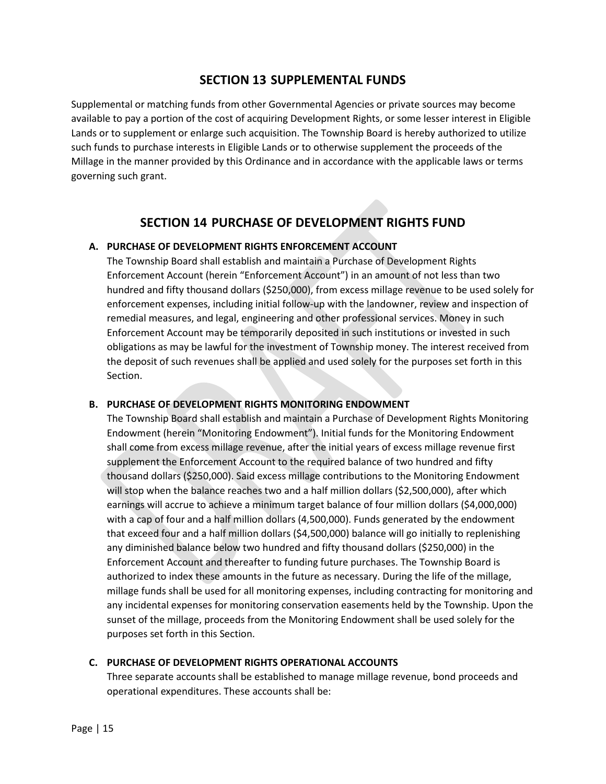### **SECTION 13 SUPPLEMENTAL FUNDS**

Supplemental or matching funds from other Governmental Agencies or private sources may become available to pay a portion of the cost of acquiring Development Rights, or some lesser interest in Eligible Lands or to supplement or enlarge such acquisition. The Township Board is hereby authorized to utilize such funds to purchase interests in Eligible Lands or to otherwise supplement the proceeds of the Millage in the manner provided by this Ordinance and in accordance with the applicable laws or terms governing such grant.

### **SECTION 14 PURCHASE OF DEVELOPMENT RIGHTS FUND**

#### **A. PURCHASE OF DEVELOPMENT RIGHTS ENFORCEMENT ACCOUNT**

The Township Board shall establish and maintain a Purchase of Development Rights Enforcement Account (herein "Enforcement Account") in an amount of not less than two hundred and fifty thousand dollars (\$250,000), from excess millage revenue to be used solely for enforcement expenses, including initial follow-up with the landowner, review and inspection of remedial measures, and legal, engineering and other professional services. Money in such Enforcement Account may be temporarily deposited in such institutions or invested in such obligations as may be lawful for the investment of Township money. The interest received from the deposit of such revenues shall be applied and used solely for the purposes set forth in this Section.

#### **B. PURCHASE OF DEVELOPMENT RIGHTS MONITORING ENDOWMENT**

The Township Board shall establish and maintain a Purchase of Development Rights Monitoring Endowment (herein "Monitoring Endowment"). Initial funds for the Monitoring Endowment shall come from excess millage revenue, after the initial years of excess millage revenue first supplement the Enforcement Account to the required balance of two hundred and fifty thousand dollars (\$250,000). Said excess millage contributions to the Monitoring Endowment will stop when the balance reaches two and a half million dollars (\$2,500,000), after which earnings will accrue to achieve a minimum target balance of four million dollars (\$4,000,000) with a cap of four and a half million dollars (4,500,000). Funds generated by the endowment that exceed four and a half million dollars (\$4,500,000) balance will go initially to replenishing any diminished balance below two hundred and fifty thousand dollars (\$250,000) in the Enforcement Account and thereafter to funding future purchases. The Township Board is authorized to index these amounts in the future as necessary. During the life of the millage, millage funds shall be used for all monitoring expenses, including contracting for monitoring and any incidental expenses for monitoring conservation easements held by the Township. Upon the sunset of the millage, proceeds from the Monitoring Endowment shall be used solely for the purposes set forth in this Section.

#### **C. PURCHASE OF DEVELOPMENT RIGHTS OPERATIONAL ACCOUNTS**

Three separate accounts shall be established to manage millage revenue, bond proceeds and operational expenditures. These accounts shall be: